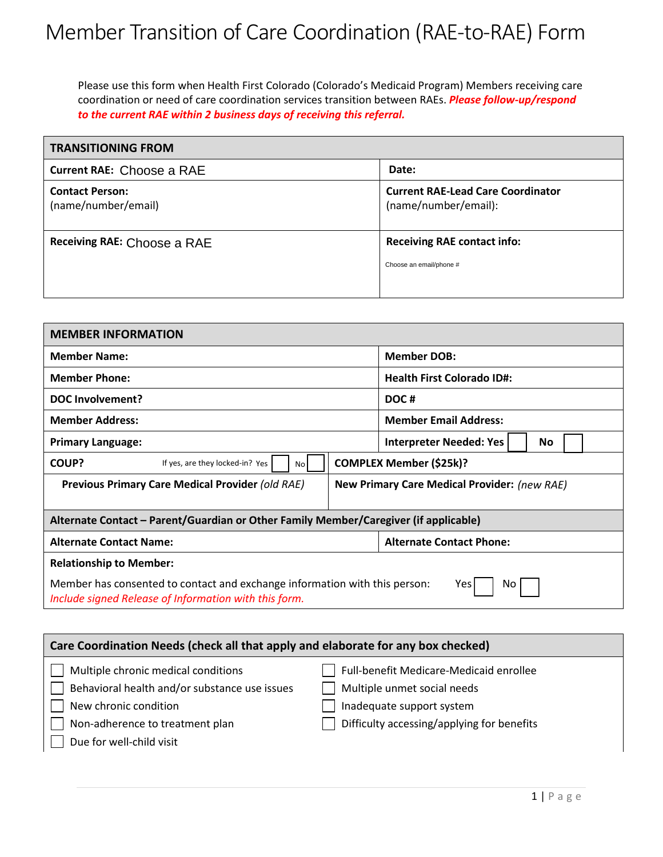Please use this form when Health First Colorado (Colorado's Medicaid Program) Members receiving care coordination or need of care coordination services transition between RAEs. *Please follow-up/respond to the current RAE within 2 business days of receiving this referral.* 

| <b>TRANSITIONING FROM</b>                     |                                                                  |  |
|-----------------------------------------------|------------------------------------------------------------------|--|
| Current RAE: Choose a RAE                     | Date:                                                            |  |
| <b>Contact Person:</b><br>(name/number/email) | <b>Current RAE-Lead Care Coordinator</b><br>(name/number/email): |  |
| Receiving RAE: Choose a RAE                   | <b>Receiving RAE contact info:</b><br>Choose an email/phone #    |  |

| <b>MEMBER INFORMATION</b>                                                                                                                        |                                             |  |
|--------------------------------------------------------------------------------------------------------------------------------------------------|---------------------------------------------|--|
| <b>Member Name:</b>                                                                                                                              | <b>Member DOB:</b>                          |  |
| <b>Member Phone:</b>                                                                                                                             | <b>Health First Colorado ID#:</b>           |  |
| DOC Involvement?                                                                                                                                 | DOC#                                        |  |
| <b>Member Address:</b>                                                                                                                           | <b>Member Email Address:</b>                |  |
| <b>Primary Language:</b>                                                                                                                         | <b>Interpreter Needed: Yes</b><br><b>No</b> |  |
| COUP?<br>If yes, are they locked-in? Yes<br>No l                                                                                                 | <b>COMPLEX Member (\$25k)?</b>              |  |
| Previous Primary Care Medical Provider (old RAE)<br>New Primary Care Medical Provider: (new RAE)                                                 |                                             |  |
|                                                                                                                                                  |                                             |  |
| Alternate Contact - Parent/Guardian or Other Family Member/Caregiver (if applicable)                                                             |                                             |  |
| <b>Alternate Contact Name:</b>                                                                                                                   | <b>Alternate Contact Phone:</b>             |  |
| <b>Relationship to Member:</b>                                                                                                                   |                                             |  |
| Member has consented to contact and exchange information with this person:<br>Yes<br>No<br>Include signed Release of Information with this form. |                                             |  |
|                                                                                                                                                  |                                             |  |
| Care Coordination Needs (check all that apply and elaborate for any box checked)                                                                 |                                             |  |
|                                                                                                                                                  |                                             |  |

| Multiple chronic medical conditions                         | Full-benefit Medicare-Medicaid enrollee    |
|-------------------------------------------------------------|--------------------------------------------|
| Behavioral health and/or substance use issues               | Multiple unmet social needs                |
| New chronic condition                                       | Inadequate support system                  |
| Non-adherence to treatment plan<br>Due for well-child visit | Difficulty accessing/applying for benefits |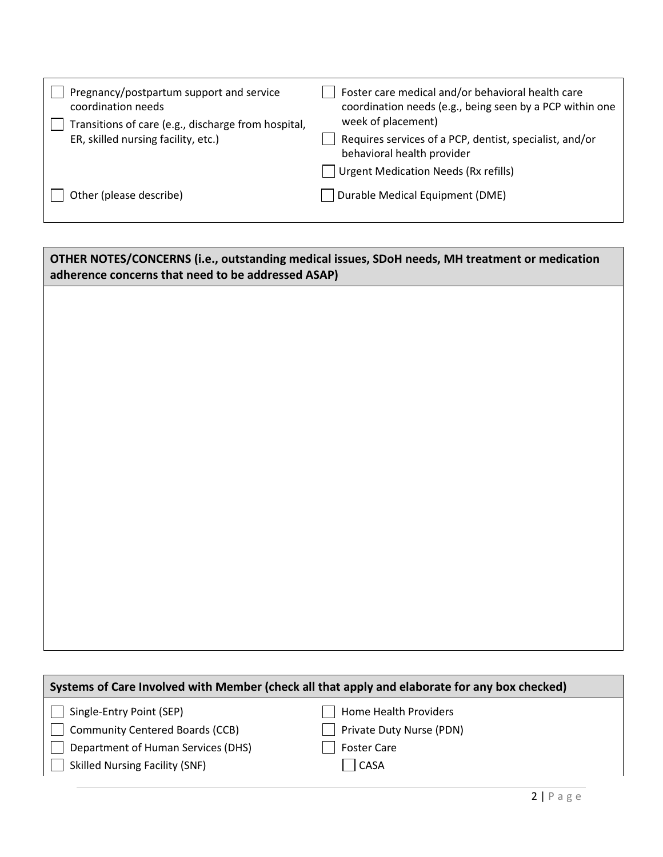| Pregnancy/postpartum support and service<br>coordination needs<br>Transitions of care (e.g., discharge from hospital,<br>ER, skilled nursing facility, etc.) | Foster care medical and/or behavioral health care<br>coordination needs (e.g., being seen by a PCP within one<br>week of placement) |
|--------------------------------------------------------------------------------------------------------------------------------------------------------------|-------------------------------------------------------------------------------------------------------------------------------------|
|                                                                                                                                                              | Requires services of a PCP, dentist, specialist, and/or<br>behavioral health provider                                               |
|                                                                                                                                                              | Urgent Medication Needs (Rx refills)                                                                                                |
| Other (please describe)                                                                                                                                      | Durable Medical Equipment (DME)                                                                                                     |

**OTHER NOTES/CONCERNS (i.e., outstanding medical issues, SDoH needs, MH treatment or medication adherence concerns that need to be addressed ASAP)**

| Systems of Care Involved with Member (check all that apply and elaborate for any box checked) |                          |  |
|-----------------------------------------------------------------------------------------------|--------------------------|--|
| Single-Entry Point (SEP)                                                                      | Home Health Providers    |  |
| <b>Community Centered Boards (CCB)</b><br>$\mathbf{L}$                                        | Private Duty Nurse (PDN) |  |
| Department of Human Services (DHS)                                                            | <b>Foster Care</b>       |  |
| <b>Skilled Nursing Facility (SNF)</b><br>$\mathbf{I}$                                         | CASA                     |  |
|                                                                                               | <b>PIP</b>               |  |